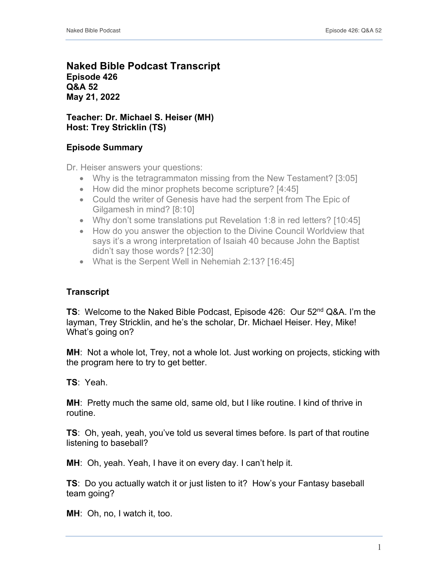## **Naked Bible Podcast Transcript Episode 426 Q&A 52 May 21, 2022**

## **Teacher: Dr. Michael S. Heiser (MH) Host: Trey Stricklin (TS)**

## **Episode Summary**

Dr. Heiser answers your questions:

- Why is the tetragrammaton missing from the New Testament? [3:05]
- How did the minor prophets become scripture? [4:45]
- Could the writer of Genesis have had the serpent from The Epic of Gilgamesh in mind? [8:10]
- Why don't some translations put Revelation 1:8 in red letters? [10:45]
- How do you answer the objection to the Divine Council Worldview that says it's a wrong interpretation of Isaiah 40 because John the Baptist didn't say those words? [12:30]
- What is the Serpent Well in Nehemiah 2:13? [16:45]

## **Transcript**

**TS**: Welcome to the Naked Bible Podcast, Episode 426: Our 52nd Q&A. I'm the layman, Trey Stricklin, and he's the scholar, Dr. Michael Heiser. Hey, Mike! What's going on?

**MH**: Not a whole lot, Trey, not a whole lot. Just working on projects, sticking with the program here to try to get better.

**TS**: Yeah.

**MH**: Pretty much the same old, same old, but I like routine. I kind of thrive in routine.

**TS**: Oh, yeah, yeah, you've told us several times before. Is part of that routine listening to baseball?

**MH**: Oh, yeah. Yeah, I have it on every day. I can't help it.

**TS**: Do you actually watch it or just listen to it? How's your Fantasy baseball team going?

**MH**: Oh, no, I watch it, too.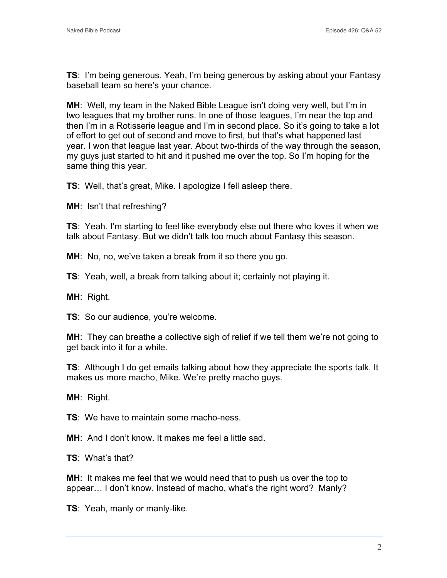**TS**: I'm being generous. Yeah, I'm being generous by asking about your Fantasy baseball team so here's your chance.

**MH**: Well, my team in the Naked Bible League isn't doing very well, but I'm in two leagues that my brother runs. In one of those leagues, I'm near the top and then I'm in a Rotisserie league and I'm in second place. So it's going to take a lot of effort to get out of second and move to first, but that's what happened last year. I won that league last year. About two-thirds of the way through the season, my guys just started to hit and it pushed me over the top. So I'm hoping for the same thing this year.

**TS**: Well, that's great, Mike. I apologize I fell asleep there.

**MH**: Isn't that refreshing?

**TS**: Yeah. I'm starting to feel like everybody else out there who loves it when we talk about Fantasy. But we didn't talk too much about Fantasy this season.

**MH**: No, no, we've taken a break from it so there you go.

**TS**: Yeah, well, a break from talking about it; certainly not playing it.

**MH**: Right.

**TS**: So our audience, you're welcome.

**MH**: They can breathe a collective sigh of relief if we tell them we're not going to get back into it for a while.

**TS**: Although I do get emails talking about how they appreciate the sports talk. It makes us more macho, Mike. We're pretty macho guys.

**MH**: Right.

**TS**: We have to maintain some macho-ness.

**MH**: And I don't know. It makes me feel a little sad.

**TS**: What's that?

**MH**: It makes me feel that we would need that to push us over the top to appear… I don't know. Instead of macho, what's the right word? Manly?

**TS**: Yeah, manly or manly-like.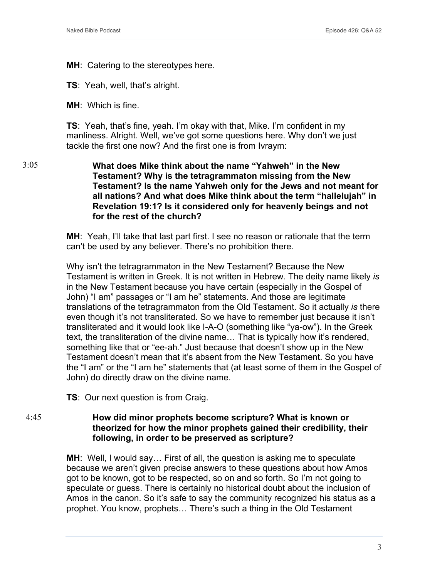**MH**: Catering to the stereotypes here.

**TS**: Yeah, well, that's alright.

**MH**: Which is fine.

**TS**: Yeah, that's fine, yeah. I'm okay with that, Mike. I'm confident in my manliness. Alright. Well, we've got some questions here. Why don't we just tackle the first one now? And the first one is from Ivraym:

**What does Mike think about the name "Yahweh" in the New Testament? Why is the tetragrammaton missing from the New Testament? Is the name Yahweh only for the Jews and not meant for all nations? And what does Mike think about the term "hallelujah" in Revelation 19:1? Is it considered only for heavenly beings and not for the rest of the church?** 3:05

> **MH**: Yeah, I'll take that last part first. I see no reason or rationale that the term can't be used by any believer. There's no prohibition there.

Why isn't the tetragrammaton in the New Testament? Because the New Testament is written in Greek. It is not written in Hebrew. The deity name likely *is* in the New Testament because you have certain (especially in the Gospel of John) "I am" passages or "I am he" statements. And those are legitimate translations of the tetragrammaton from the Old Testament. So it actually *is* there even though it's not transliterated. So we have to remember just because it isn't transliterated and it would look like I-A-O (something like "ya-ow"). In the Greek text, the transliteration of the divine name… That is typically how it's rendered, something like that or "ee-ah." Just because that doesn't show up in the New Testament doesn't mean that it's absent from the New Testament. So you have the "I am" or the "I am he" statements that (at least some of them in the Gospel of John) do directly draw on the divine name.

**TS**: Our next question is from Craig.

**How did minor prophets become scripture? What is known or theorized for how the minor prophets gained their credibility, their following, in order to be preserved as scripture?** 4:45

> **MH**: Well, I would say… First of all, the question is asking me to speculate because we aren't given precise answers to these questions about how Amos got to be known, got to be respected, so on and so forth. So I'm not going to speculate or guess. There is certainly no historical doubt about the inclusion of Amos in the canon. So it's safe to say the community recognized his status as a prophet. You know, prophets… There's such a thing in the Old Testament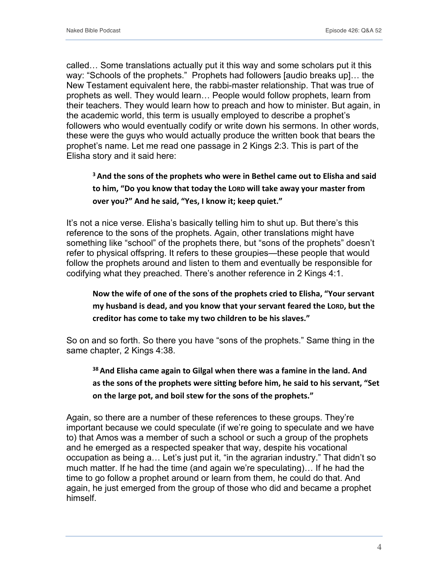called… Some translations actually put it this way and some scholars put it this way: "Schools of the prophets." Prophets had followers [audio breaks up]… the New Testament equivalent here, the rabbi-master relationship. That was true of prophets as well. They would learn… People would follow prophets, learn from their teachers. They would learn how to preach and how to minister. But again, in the academic world, this term is usually employed to describe a prophet's followers who would eventually codify or write down his sermons. In other words, these were the guys who would actually produce the written book that bears the prophet's name. Let me read one passage in 2 Kings 2:3. This is part of the Elisha story and it said here:

## **<sup>3</sup> And the sons of the prophets who were in Bethel came out to Elisha and said to him, "Do you know that today the LORD will take away your master from over you?" And he said, "Yes, I know it; keep quiet."**

It's not a nice verse. Elisha's basically telling him to shut up. But there's this reference to the sons of the prophets. Again, other translations might have something like "school" of the prophets there, but "sons of the prophets" doesn't refer to physical offspring. It refers to these groupies—these people that would follow the prophets around and listen to them and eventually be responsible for codifying what they preached. There's another reference in 2 Kings 4:1.

## **Now the wife of one of the sons of the prophets cried to Elisha, "Your servant my husband is dead, and you know that your servant feared the LORD, but the creditor has come to take my two children to be his slaves."**

So on and so forth. So there you have "sons of the prophets." Same thing in the same chapter, 2 Kings 4:38.

# **<sup>38</sup> And Elisha came again to Gilgal when there was a famine in the land. And as the sons of the prophets were sitting before him, he said to his servant, "Set on the large pot, and boil stew for the sons of the prophets."**

Again, so there are a number of these references to these groups. They're important because we could speculate (if we're going to speculate and we have to) that Amos was a member of such a school or such a group of the prophets and he emerged as a respected speaker that way, despite his vocational occupation as being a… Let's just put it, "in the agrarian industry." That didn't so much matter. If he had the time (and again we're speculating)… If he had the time to go follow a prophet around or learn from them, he could do that. And again, he just emerged from the group of those who did and became a prophet himself.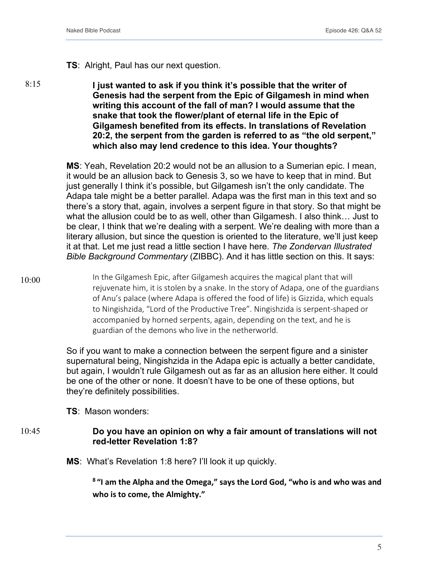#### **TS**: Alright, Paul has our next question.

8:15

**I just wanted to ask if you think it's possible that the writer of Genesis had the serpent from the Epic of Gilgamesh in mind when writing this account of the fall of man? I would assume that the snake that took the flower/plant of eternal life in the Epic of Gilgamesh benefited from its effects. In translations of Revelation 20:2, the serpent from the garden is referred to as "the old serpent," which also may lend credence to this idea. Your thoughts?**

**MS**: Yeah, Revelation 20:2 would not be an allusion to a Sumerian epic. I mean, it would be an allusion back to Genesis 3, so we have to keep that in mind. But just generally I think it's possible, but Gilgamesh isn't the only candidate. The Adapa tale might be a better parallel. Adapa was the first man in this text and so there's a story that, again, involves a serpent figure in that story. So that might be what the allusion could be to as well, other than Gilgamesh. I also think… Just to be clear, I think that we're dealing with a serpent. We're dealing with more than a literary allusion, but since the question is oriented to the literature, we'll just keep it at that. Let me just read a little section I have here. *The Zondervan Illustrated Bible Background Commentary* (ZIBBC). And it has little section on this. It says:

In the Gilgamesh Epic, after Gilgamesh acquires the magical plant that will rejuvenate him, it is stolen by a snake. In the story of Adapa, one of the guardians of Anu's palace (where Adapa is offered the food of life) is Gizzida, which equals to Ningishzida, "Lord of the Productive Tree". Ningishzida is serpent-shaped or accompanied by horned serpents, again, depending on the text, and he is guardian of the demons who live in the netherworld. 10:00

> So if you want to make a connection between the serpent figure and a sinister supernatural being, Ningishzida in the Adapa epic is actually a better candidate, but again, I wouldn't rule Gilgamesh out as far as an allusion here either. It could be one of the other or none. It doesn't have to be one of these options, but they're definitely possibilities.

**TS**: Mason wonders:

#### **Do you have an opinion on why a fair amount of translations will not red-letter Revelation 1:8?** 10:45

**MS**: What's Revelation 1:8 here? I'll look it up quickly.

**<sup>8</sup> "I am the Alpha and the Omega," says the Lord God, "who is and who was and who is to come, the Almighty."**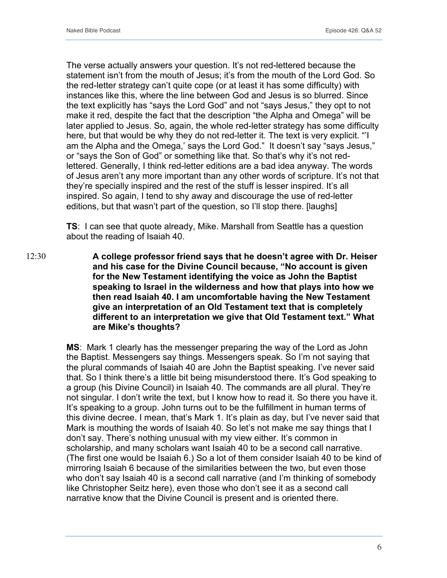The verse actually answers your question. It's not red-lettered because the statement isn't from the mouth of Jesus; it's from the mouth of the Lord God. So the red-letter strategy can't quite cope (or at least it has some difficulty) with instances like this, where the line between God and Jesus is so blurred. Since the text explicitly has "says the Lord God" and not "says Jesus," they opt to not make it red, despite the fact that the description "the Alpha and Omega" will be later applied to Jesus. So, again, the whole red-letter strategy has some difficulty here, but that would be why they do not red-letter it. The text is very explicit. "'I am the Alpha and the Omega,' says the Lord God." It doesn't say "says Jesus," or "says the Son of God" or something like that. So that's why it's not redlettered. Generally, I think red-letter editions are a bad idea anyway. The words of Jesus aren't any more important than any other words of scripture. It's not that they're specially inspired and the rest of the stuff is lesser inspired. It's all inspired. So again, I tend to shy away and discourage the use of red-letter editions, but that wasn't part of the question, so I'll stop there. [laughs]

**TS**: I can see that quote already, Mike. Marshall from Seattle has a question about the reading of Isaiah 40.

**A college professor friend says that he doesn't agree with Dr. Heiser and his case for the Divine Council because, "No account is given for the New Testament identifying the voice as John the Baptist speaking to Israel in the wilderness and how that plays into how we then read Isaiah 40. I am uncomfortable having the New Testament give an interpretation of an Old Testament text that is completely different to an interpretation we give that Old Testament text." What are Mike's thoughts?** 12:30

> **MS**: Mark 1 clearly has the messenger preparing the way of the Lord as John the Baptist. Messengers say things. Messengers speak. So I'm not saying that the plural commands of Isaiah 40 are John the Baptist speaking. I've never said that. So I think there's a little bit being misunderstood there. It's God speaking to a group (his Divine Council) in Isaiah 40. The commands are all plural. They're not singular. I don't write the text, but I know how to read it. So there you have it. It's speaking to a group. John turns out to be the fulfillment in human terms of this divine decree. I mean, that's Mark 1. It's plain as day, but I've never said that Mark is mouthing the words of Isaiah 40. So let's not make me say things that I don't say. There's nothing unusual with my view either. It's common in scholarship, and many scholars want Isaiah 40 to be a second call narrative. (The first one would be Isaiah 6.) So a lot of them consider Isaiah 40 to be kind of mirroring Isaiah 6 because of the similarities between the two, but even those who don't say Isaiah 40 is a second call narrative (and I'm thinking of somebody like Christopher Seitz here), even those who don't see it as a second call narrative know that the Divine Council is present and is oriented there.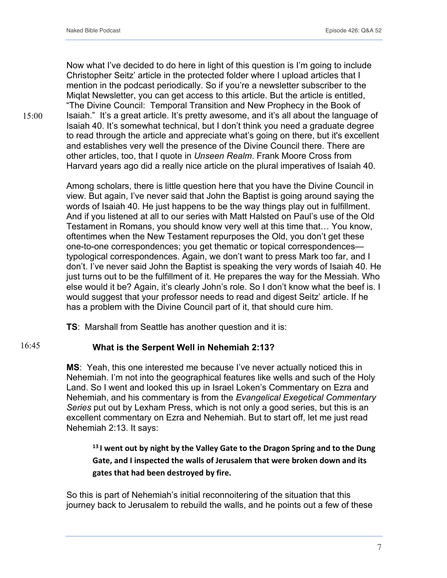Now what I've decided to do here in light of this question is I'm going to include Christopher Seitz' article in the protected folder where I upload articles that I mention in the podcast periodically. So if you're a newsletter subscriber to the Miqlat Newsletter, you can get access to this article. But the article is entitled, "The Divine Council: Temporal Transition and New Prophecy in the Book of Isaiah." It's a great article. It's pretty awesome, and it's all about the language of Isaiah 40. It's somewhat technical, but I don't think you need a graduate degree to read through the article and appreciate what's going on there, but it's excellent and establishes very well the presence of the Divine Council there. There are other articles, too, that I quote in *Unseen Realm*. Frank Moore Cross from Harvard years ago did a really nice article on the plural imperatives of Isaiah 40.

Among scholars, there is little question here that you have the Divine Council in view. But again, I've never said that John the Baptist is going around saying the words of Isaiah 40. He just happens to be the way things play out in fulfillment. And if you listened at all to our series with Matt Halsted on Paul's use of the Old Testament in Romans, you should know very well at this time that… You know, oftentimes when the New Testament repurposes the Old, you don't get these one-to-one correspondences; you get thematic or topical correspondences typological correspondences. Again, we don't want to press Mark too far, and I don't. I've never said John the Baptist is speaking the very words of Isaiah 40. He just turns out to be the fulfillment of it. He prepares the way for the Messiah. Who else would it be? Again, it's clearly John's role. So I don't know what the beef is. I would suggest that your professor needs to read and digest Seitz' article. If he has a problem with the Divine Council part of it, that should cure him.

**TS**: Marshall from Seattle has another question and it is:

#### **What is the Serpent Well in Nehemiah 2:13?** 16:45

**MS**: Yeah, this one interested me because I've never actually noticed this in Nehemiah. I'm not into the geographical features like wells and such of the Holy Land. So I went and looked this up in Israel Loken's Commentary on Ezra and Nehemiah, and his commentary is from the *Evangelical Exegetical Commentary Series* put out by Lexham Press, which is not only a good series, but this is an excellent commentary on Ezra and Nehemiah. But to start off, let me just read Nehemiah 2:13. It says:

**<sup>13</sup> I went out by night by the Valley Gate to the Dragon Spring and to the Dung Gate, and I inspected the walls of Jerusalem that were broken down and its gates that had been destroyed by fire.**

So this is part of Nehemiah's initial reconnoitering of the situation that this journey back to Jerusalem to rebuild the walls, and he points out a few of these